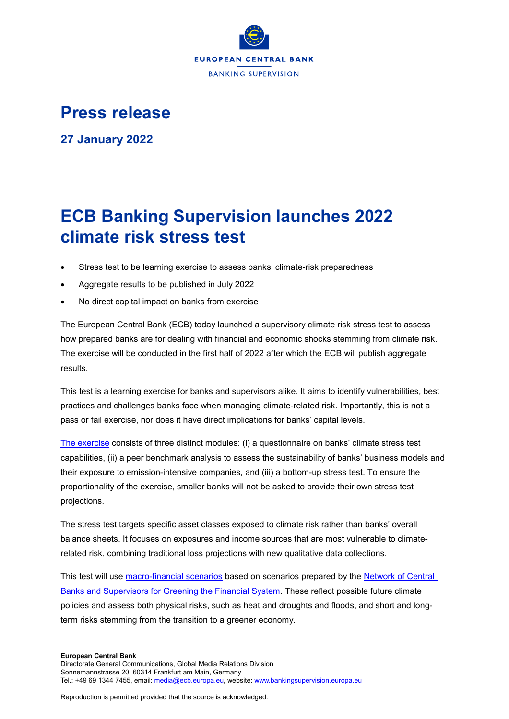

## **Press release**

**27 January 2022**

## **ECB Banking Supervision launches 2022 climate risk stress test**

- Stress test to be learning exercise to assess banks' climate-risk preparedness
- Aggregate results to be published in July 2022
- No direct capital impact on banks from exercise

The European Central Bank (ECB) today launched a supervisory climate risk stress test to assess how prepared banks are for dealing with financial and economic shocks stemming from climate risk. The exercise will be conducted in the first half of 2022 after which the ECB will publish aggregate results.

This test is a learning exercise for banks and supervisors alike. It aims to identify vulnerabilities, best practices and challenges banks face when managing climate-related risk. Importantly, this is not a pass or fail exercise, nor does it have direct implications for banks' capital levels.

[The exercise](https://www.bankingsupervision.europa.eu/press/letterstobanks/shared/pdf/2021/ssm.2021_letter_on_participation_in_the_2022_ECB_climate_risk_stress_test~48b409406e.en.pdf) consists of three distinct modules: (i) a questionnaire on banks' climate stress test capabilities, (ii) a peer benchmark analysis to assess the sustainability of banks' business models and their exposure to emission-intensive companies, and (iii) a bottom-up stress test. To ensure the proportionality of the exercise, smaller banks will not be asked to provide their own stress test projections.

The stress test targets specific asset classes exposed to climate risk rather than banks' overall balance sheets. It focuses on exposures and income sources that are most vulnerable to climaterelated risk, combining traditional loss projections with new qualitative data collections.

This test will use [macro-financial scenarios](https://www.bankingsupervision.europa.eu/ecb/pub/pdf/ssm.macrofinancialscenariosclimateriskstresstest2022~bcac934986.en.pdf) based on scenarios prepared by the [Network of Central](https://www.ngfs.net/en#:~:text=The%20Network%20of%20Central%20Banks,of%20environment%20and%20climate%20risk)  [Banks and Supervisors for Greening the Financial System.](https://www.ngfs.net/en#:~:text=The%20Network%20of%20Central%20Banks,of%20environment%20and%20climate%20risk) These reflect possible future climate policies and assess both physical risks, such as heat and droughts and floods, and short and longterm risks stemming from the transition to a greener economy.

## **European Central Bank**

Reproduction is permitted provided that the source is acknowledged.